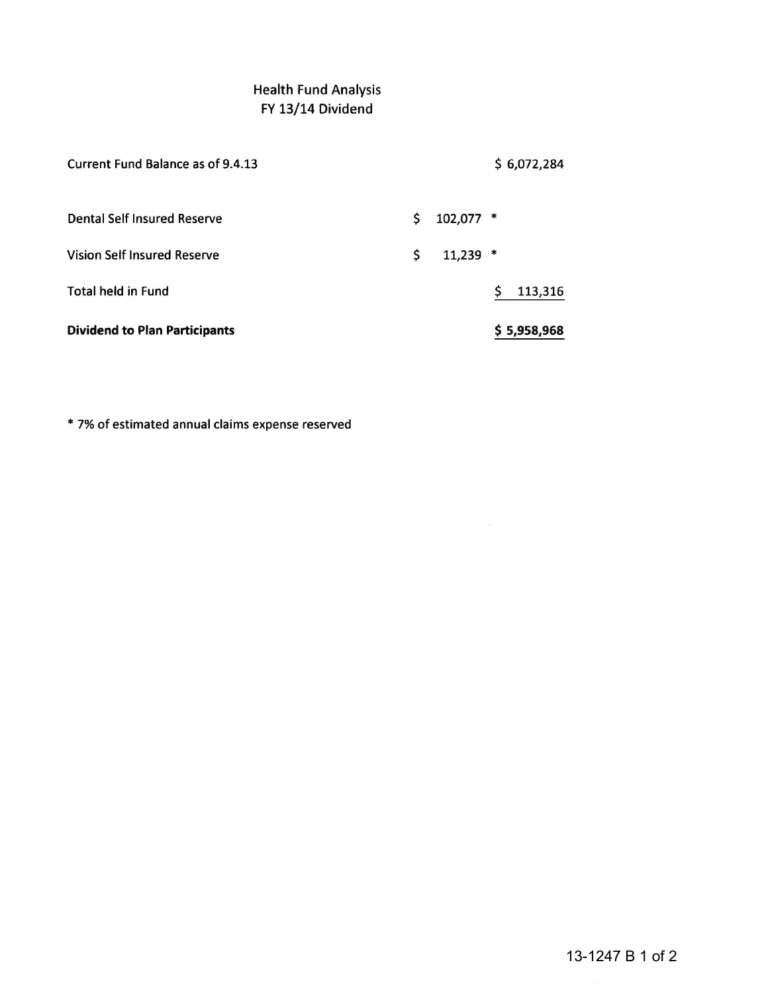## Health Fund Analysis FY 13/14 Dividend

| <b>Dividend to Plan Participants</b> |                  | \$5,958,968    |
|--------------------------------------|------------------|----------------|
| <b>Total held in Fund</b>            |                  | \$.<br>113,316 |
| <b>Vision Self Insured Reserve</b>   | \$<br>$11,239$ * |                |
| Dental Self Insured Reserve          | \$<br>102,077 *  |                |
| Current Fund Balance as of 9.4.13    |                  | \$6,072,284    |

\* 7% of estimated annual claims expense reserved